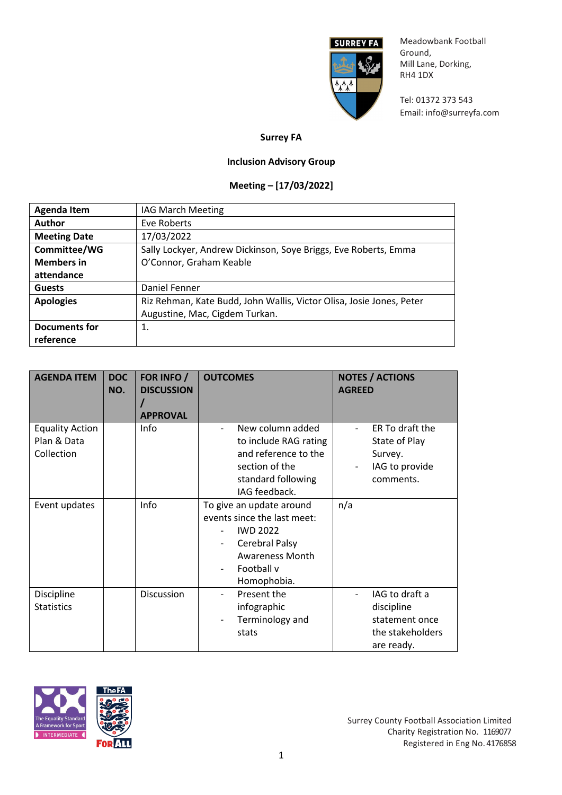

Meadowbank Football Ground, Mill Lane, Dorking, RH4 1DX

Tel: 01372 373 543 Email: [info@surreyfa.com](mailto:info@surreyfa.com)

## **Surrey FA**

## **Inclusion Advisory Group**

## **Meeting – [17/03/2022]**

| <b>Agenda Item</b>   | <b>IAG March Meeting</b>                                             |
|----------------------|----------------------------------------------------------------------|
| <b>Author</b>        | Eve Roberts                                                          |
| <b>Meeting Date</b>  | 17/03/2022                                                           |
| Committee/WG         | Sally Lockyer, Andrew Dickinson, Soye Briggs, Eve Roberts, Emma      |
| <b>Members in</b>    | O'Connor, Graham Keable                                              |
| attendance           |                                                                      |
| <b>Guests</b>        | Daniel Fenner                                                        |
| <b>Apologies</b>     | Riz Rehman, Kate Budd, John Wallis, Victor Olisa, Josie Jones, Peter |
|                      | Augustine, Mac, Cigdem Turkan.                                       |
| <b>Documents for</b> | 1.                                                                   |
| reference            |                                                                      |

| <b>AGENDA ITEM</b>                                  | <b>DOC</b><br>NO. | FOR INFO /<br><b>DISCUSSION</b><br><b>APPROVAL</b> | <b>OUTCOMES</b>                                                                                                                                     | <b>NOTES / ACTIONS</b><br><b>AGREED</b>                                          |
|-----------------------------------------------------|-------------------|----------------------------------------------------|-----------------------------------------------------------------------------------------------------------------------------------------------------|----------------------------------------------------------------------------------|
| <b>Equality Action</b><br>Plan & Data<br>Collection |                   | Info                                               | New column added<br>to include RAG rating<br>and reference to the<br>section of the<br>standard following<br>IAG feedback.                          | ER To draft the<br>State of Play<br>Survey.<br>IAG to provide<br>comments.       |
| Event updates                                       |                   | Info                                               | To give an update around<br>events since the last meet:<br><b>IWD 2022</b><br>Cerebral Palsy<br><b>Awareness Month</b><br>Football v<br>Homophobia. | n/a                                                                              |
| Discipline<br><b>Statistics</b>                     |                   | Discussion                                         | Present the<br>infographic<br>Terminology and<br>stats                                                                                              | IAG to draft a<br>discipline<br>statement once<br>the stakeholders<br>are ready. |



Surrey County Football Association Limited Charity Registration No. 1169077 Registered in Eng No. 4176858